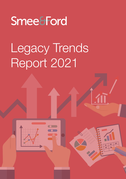# Smee&Ford

# Legacy Trends Report 2021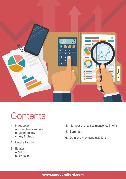

# **Contents**

- 1. Introduction
	- a. Executive summary
	- b. Methodology
	- c. Key findings
- 2. Legacy income
- 3. Estates:
	- a. Values
	- b. By region
- 4. Number of charities mentioned in wills
- 5. Summary
- 6. Data and marketing solutions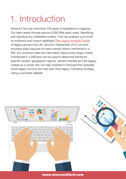# 1. Introduction

Smee & Ford has more than 125 years of experience in legacies. Our team reads through around 5,000 Wills each week, identifying and reporting any charitable content. This has enabled us to build an extensive and unique database ([The Legacy Analysis Portal](https://smeeandford.com/legacyanalysisportal?utm_source=legacy_trends_report&utm_medium=report_download&utm_campaign=Legacy_trends_report_2021)) of legacy giving in the UK, and from September 2012 we have recorded every bequest for each named charity mentioned in a Will. Our exclusive data has information about every single charity (mentioned in a Will) and can be used to determine trends for specific causes, geographic regions, named charities and the legacy market as a whole; this can help charities to forecast their potential future legacy income and help plan their legacy marketing strategy using a complete dataset.

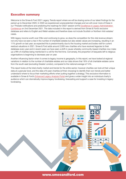#### Executive summary

Welcome to the Smee & Ford 2021 Legacy Trends report where we will be sharing some of our latest findings for the period up to December 2020. In 2020 we experienced unprecedented changes and we will cover more of these in our 'Probate notifications and predicting the roadmap for 2022' session at the Excellence in Legacy Administration [Conference](https://excellenceinlegacyadmin.co.uk/?utm_source=legacy_trends_report&utm_medium=report_download&utm_campaign=Legacy_trends_report_2021) on 2nd December 2021. The data included in this report is derived from Smee & Ford's exclusive database and refers to English and Welsh estates and therefore does not include Scottish or Northern Irish estates/ cases.

With legacy income worth over £3bn and continuing to grow, so does the competition for this vital revenue stream; not only have we seen a rise in the number of charitable estates but also estate values are increasing, resulting in an 11% growth on last year; as expected this is predominantly due to the housing market and bodes well for current residual valuations in 2021. Smee & Ford adds around 2,000 new charities who have received legacies to their database every year and in recent years we have seen a shift in cause whereby community-based charities now make up a fifth of charities being mentioned in a will for the first time. Conversely, the proportion of bequests left to religious organisations is beginning to decrease year on year.

Another influencing factor when it comes to legacy income is geography. In this report, we have looked at regional variations in relation to the number of charitable estates and our data shows that 18% of all charitable estates came from the south-east (excluding Greater London), compared to the national average of 14%.

This report looks at the total charity market and trends for the entire sector, however charities can look at their unique data at a granular level, and the data of 6 peer charities (of their choosing) to identify their own trends and better understand where to focus their marketing efforts when putting together a strategy. This exclusive information is available in Smee & Ford's [Enhanced Legacy Analysis Portal](https://smeeandford.com/legacyanalysisportal?utm_source=legacy_trends_report&utm_medium=report_download&utm_campaign=Legacy_trends_report_2021) and gives a wider insight into an individual charity's audience which can dramatically improve legacy fundraising, forecasting and support a case for investing in legacy fundraising.

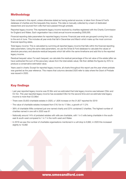#### **Methodology**

Data contained in this report, unless otherwise stated as having external sources, is taken from Smee & Ford's database of charities and the bequests they receive. This data is manually collected by a team of dedicated researchers and sourced from wills that have passed through probate.

Reported legacy income: This represents legacy income received by charities registered with the Charity Commission for England and Wales. Each organisation has a total annual income exceeding £500,000.

Financial reporting date parameters for reported legacy income: Financial year ends are grouped running from July to the end of June. This includes all year ends that fall in December and March which make up the most common financial reporting dates.

Total legacy income: This is calculated by summing all reported legacy income that falls within the financial reporting date parameters. Using the same date parameters, we use the Smee & Ford database to calculate the values of absolute pecuniary and absolute residual bequests which fall within the same timeframe and add this to the reported legacy income.

Residual bequest value: For each bequest, we calculate the residual percentage of the net value of the estate (after we have subtracted the sum of the pecuniary values from the total estate value). We then deflate the figures by 25% to produce a conservative estimated value.

Years used in charts: Except for reported legacy income, all charts throughout this report use the year where probate was granted as the year reference. This means that columns denoted 2020 refer to data where the Grant of Probate was issued in 2020.

### Key findings

- Last year reported legacy income was £2.9bn and we estimated that total legacy income was between £3bn and £3.1bn. This year reported legacy income has exceeded £3bn for the second time and we estimate total legacy income is more than £3.36bn
- There were 33,653 charitable estates in 2020, a 1,826 increase on the 31,827 reported for 2019
- The value of charitable estates increased from £16.1bn to 17.9bn, a growth of 11.2%
- 38% of charitable Wills contained just one named charity and 22% contained 2 charities. The highest number of charities named in one will in 2020 was 61
- Nationally around 14% of probated estates with wills are charitable, with 1 in 5 wills being charitable in the southeast & south-west compared to 1 in 7 in the north-west and Wales
- In 2019 we saw the number of charitable organisations mentioned in a will drop to 9,962, in 2020 this increased slightly to 10,082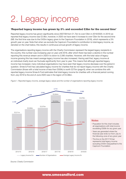# 2. Legacy income

#### 'Reported legacy income has grown by 3% and exceeded £3bn for the second time'

Reported legacy income has grown significantly since 2007/08 from £1.7bn to over £3bn in 2019/2020. In 2019 we reported that legacy income was £2.9bn, however, in 2020 we have seen it increase to over £3bn for the second time (NB. the first time was due to the £435m legacy given to the Capricorn Foundation in 2018), which represents a 3% growth year on year. Note that when we exclude the Capricorn Foundation's contribution to total legacy income, as denoted on the chart below, this results in continuous annual growth of legacy income.

The organisations reporting legacy income with the Charity Commission represent the largest legacy recipients in the country; this number was increasing year on year until 2018, after which there has been a decline in the number reporting this revenue stream and in 2020 it is down to 2,590 charities. However, with the total value of legacy income growing this has meant average legacy income has also increased. Having said that, legacy income at an individual charity level can fluctuate significantly from year to year. This means that although reported legacy income has increased, many individual organisations may have seen their legacy income decrease over the period in question. Smee & Ford has calculated legacy income for charities that do not report legacy income with the Charity Commission (those with a total income of less than £500k) is worth £275m (page 8); when we combine this with reported legacy income Smee & Ford estimates that total legacy income for charities with a financial period running from July 2019 to the end of June 2020 was in the region of £3.36bn.







- Population for this chart includes all organisations with total income exceeding £500k for any given year
- Years are generated where the financial year ends run from July to the following June of any given year
- The line on the 2017/18 bar represents total legacy income excluding £435m bequeathed to the Capricorn Foundation

*Source: Charity Commission*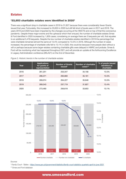#### Estates

#### '33,653 charitable estates were identified in 2020'

There was a significant drop in charitable cases in 2019 to 31,827 because there were considerably fewer Grants issued that year. Fortunately, this increased to 33,653 in 2020 but still fell short of levels seen in 2017 and 2018. The years 2019 and 2020 have been impacted by the changes occurring at the HMCTS and on top of that the coronavirus pandemic. Despite these major events and the upheaval which then ensued, the number of charitable estates Smee & Ford identified in 2020 increased by 1,826 cases; considering on average there are 3 bequests per will, that equates to an additional 5,478 bequests. Despite the low number of charitable estates identified in 2019 the percentage that were charitable remained almost the same at 13.4% compared to 13.5% in 2018. Although the number of cases increased, the percentage of charitable wills fell to 13.1% in 2020, this could be because more people died without a will or perhaps because some larger estates containing charitable gifts were delayed in HMRC and probate. Smee & Ford will be monitoring what has happened throughout 2021 and will provide an update at the forthcoming Excellence in Legacy Administration conference (#ELA21) on the 2nd of December.



*Figure 2. Historic trends in the number of charitable estates* 



#### *Sources*

*\* Family Court ~Tables -<https://www.gov.uk/government/statistics/family-court-statistics-quarterly-april-to-june-2021>*

*\*\* Smee and Ford database*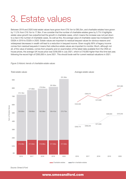# 3. Estate values

Between 2019 and 2020 total estate values have grown from £76.1bn to £85.2bn, and charitable estates have grown by 11.2% from £16.1bn to 17.9bn. If we consider that the number of charitable estates grew by 5.7% it highlights estate value growth has outperformed the growth in charitable cases, which means the increase was not just down to a rise in the number of charitable cases. As well as this, the average value of charitable cases has increased from £502k in 2019 to £532k in 2020. Estate values are important to residual bequest values for obvious reasons and widespread decreases in wealth will lead to a reduction in bequest income. Given roughly 90% of legacy income comes from residual bequests it means that collective estate values are important to monitor. Much, although not all, of the value of estates, comes from property and on examination of the latest data available from the ONS on house prices, the average UK house price was £256,000 in July 2021, which is £19,000 higher than this time last year, following the record high of £265,000 in June 2021. This should bode well for current residual valuations in 2021.



*Figure 3.Historic trends of charitable estate values* 

*Source: Smee & Ford*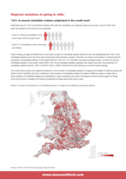### Regional variations in giving in wills:

#### '15% of annual charitable estates originated in the south west'

Nationally around 14% of probated estates with wills are charitable, but regional variances do exist, and it is still more likely for estates in the south to be charitable.

- One in 5 wills are charitable in the south-east and the south-west
- One in 7 is charitable in the north-west and Wales

When looking at regional differences in the total number of charitable estates Smee & Ford has established that 18% of all charitable estates came from the south-east (excluding Greater London). However, on closer examination, it shows that the proportion of probated estates in this region fell from 18% to 17%. Similarly, the second largest region, in terms of annual charitable estates, is the south-west where 15% of all charitable estates originate, this region also saw the proportion of charitable estates fall from 19% in 2019 to 18% in 2020. Smee & Ford will continue to monitor these findings.

The chart below shows the regional variations in the number of charitable estates in England and Wales in 2020 by postcode district which identifies the local variations in the number of charitable estates throughout differing regions. Areas with a lower density of charitable estates are highlighted in grey, indicating the north of England and the central region of Wales have lower levels of estates will making compared to areas along the south coast.

*Figure 5. shows the distribution of charitable estates in England and Wales by postcode district*



*Source: Smee & Ford Enhanced Legacy Analysis Portal*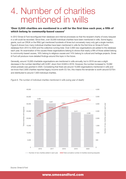## 4. Number of charities mentioned in wills

#### 'Over 2,000 charities are mentioned in a will for the first time each year, a fifth of which belong to community-based causes'

In 2012 Smee & Ford reconfigured their database and internal processes so that the recipient charity of every bequest in a will could be recorded. Since then, over 33,000 individual charities have been mentioned in wills. Some legacy giants, such as CRUK or the RNLI get mentioned hundreds of times but conversely many only get a single mention. Figure 6 shows how many individual charities have been mentioned in wills for the first time on Smee & Ford's database from 2012 to 2020 and the collective running total. Over 2,000 new organisations are added to the database each year. An examination of the causes these organisations belong to shows that nearly a fifth of those added belong to community-based causes, 16% belong to religious causes and 14% belong to cultural and heritage projects. Smee & Ford will produce more detailed findings around this topic in the future.

Generally, around 10,000 charitable organisations are mentioned in wills annually, but in 2019 we saw a slight decrease in the number identified with 9,287, down from 9,949 in 2018. However, the number increased to 10,082 where probate was granted in 2020. Considering that there are around 10,000 organisations mentioned in wills and we know that 2,600 charities reported legacy income worth £3.1bn, this means the remainder is worth around £275m and distributed to around 7,500 individual charities.



*Figure 6. The number of individual charities mentioned in wills (using year of death)*

*Source: Smee & Ford*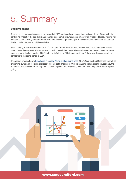# 5. Summary

#### Looking ahead

This report has focussed on data up to the end of 2020 and has shown legacy income is worth over £3bn. With the continuing impact of the pandemic and changing economic circumstances, time will tell if reported legacy income will increase over the next year and Smee & Ford should have a greater insight in the summer of 2022 when full data for the 2021 calendar year should be available.

When looking at the available data for 2021 compared to this time last year, Smee & Ford have identified there are more charitable estates which has resulted in an increase in bequests. We can also see that the volume of bequests was greatest in the first quarter of 2021 with levels falling by 25% in quarters 2 and 3, however, these were both up compared to the same period in 2020.

This year at Smee & Ford's [Excellence in Legacy Administration conference](https://excellenceinlegacyadmin.co.uk/?utm_source=legacy_trends_report&utm_medium=report_download&utm_campaign=Legacy_trends_report_2021) (#ELA21) on the 2nd December we will be presenting our annual focus on the legacy income data landscape. We'll be examining changes in bequest data, the impact we have seen so far relating to the Covid-19 period and discussing what the future might look like for legacy giving.

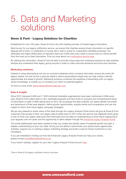## 5. Data and Marketing solutions

#### Smee & Ford - Legacy Solutions for Charities

Established for over 100 years, Smee & Ford is the UK's leading provider of trusted legacy information.

Most known for our legacy notification service, we ensure that charities receive timely information on specific legacies left to them, or notification of money left in wills or trusts for unspecified charitable purposes. Our dedicated and highly skilled team of reporters read over 5,000 wills every week to ensure that our clients benefit from the most up-to-date information. Find out more about our [notifications service here.](https://smeeandford.com/notificationservices)

By utilising this information, Smee & Ford are able to provide unique data and marketing solutions to help charities analyse and understand their legacy giving records in order to make informed decisions and drive their activities.

#### Marketing solutions:

Instead of using assumptions we use our exclusive database which contains information across the entire UK legacy market; we look at this in granular detail to derive personalised insight that can help charity's identify opportunities and areas of growth. Marketing solutions combines the expertise of advertising with our legacy sector knowledge, to enable you to increase your reach to potential legators.

To find out more email: david.baldock@wilmingtonplc.com.

#### Data & Insight:

Since 2013, between 8,000 and 11,000 individual charitable organisations have been mentioned in Wills every year. Smee & Ford collect data on ALL charitable bequests and have built an exclusive and comprehensive bank of information on gifts in Wills dating back to 2012. By accessing this data charities can easily identify the profile and behaviours of their past legators, define growth opportunities, analyse trends and comparators and use this insight to inform their future legacy campaign strategies.

We are very pleased to share views of this data through the Legacy Analysis Portal which will give all Smee & Ford customers free access to their own legacy data (it dates back to 2014 when the service was digitised) which gives a view of what your legacy data looks like historically and provides an understanding of what has/is happening to your legacies over the years and the opportunity to delve deeper through the [Enhanced Legacy Analysis Portal.](https://smeeandford.com/legacyanalysisportal?utm_source=legacy_trends_report&utm_medium=report_download&utm_campaign=Legacy_trends_report_2021)

The portal dashboards have been created to help you create and identify areas of potential growth and gain a deeper understanding of your own data. Giving you the ability to benchmark your performance against peer charities, support you in creating a legacy marketing strategy and build a case for future investment in your campaigns.

If you are interested in finding out how the Enhanced Legacy Analysis Portal can help your charity, please contact portal@smeeandford.co.uk.

If you haven't already, register for your free\* Legacy Analysis Portal account [here.](https://go.wilmingtonplc.com/WBI-CHA-PRO-Smee--Ford-Insight-Sub-2020_User-Registration.html)

*\*Free to Smee & Ford legacy notification service customers*.